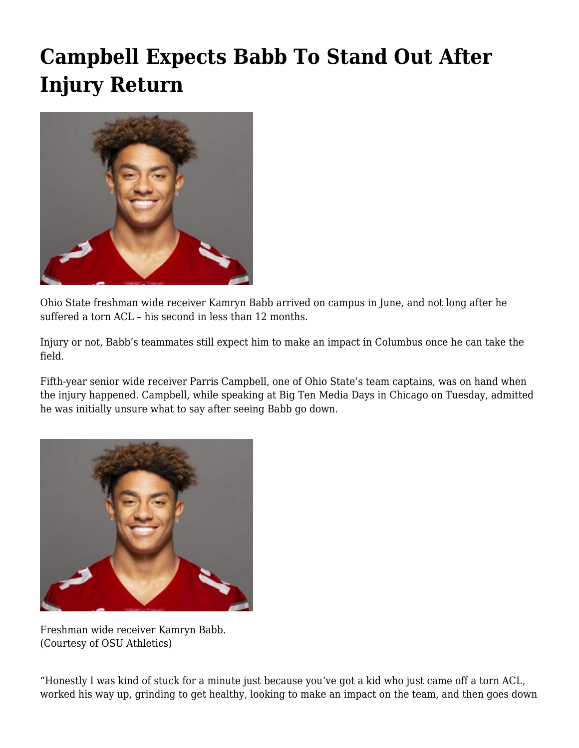## **[Campbell Expects Babb To Stand Out After](https://www.buckeyesports.com/campbell-expects-babb-to-stand-out-after-injury-return/) [Injury Return](https://www.buckeyesports.com/campbell-expects-babb-to-stand-out-after-injury-return/)**



Ohio State freshman wide receiver Kamryn Babb arrived on campus in June, and not long after he suffered a torn ACL – his second in less than 12 months.

Injury or not, Babb's teammates still expect him to make an impact in Columbus once he can take the field.

Fifth-year senior wide receiver Parris Campbell, one of Ohio State's team captains, was on hand when the injury happened. Campbell, while speaking at Big Ten Media Days in Chicago on Tuesday, admitted he was initially unsure what to say after seeing Babb go down.



Freshman wide receiver Kamryn Babb. (Courtesy of OSU Athletics)

"Honestly I was kind of stuck for a minute just because you've got a kid who just came off a torn ACL, worked his way up, grinding to get healthy, looking to make an impact on the team, and then goes down